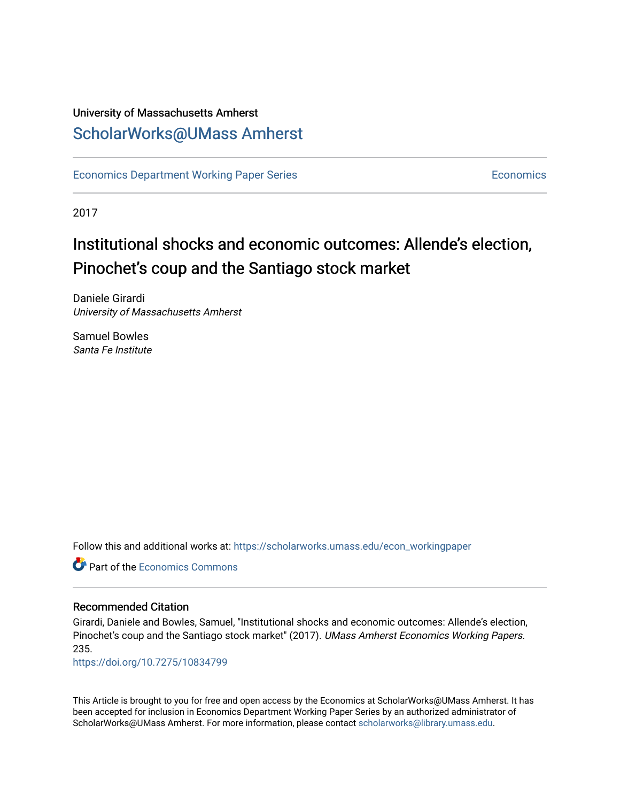# University of Massachusetts Amherst [ScholarWorks@UMass Amherst](https://scholarworks.umass.edu/)

[Economics Department Working Paper Series](https://scholarworks.umass.edu/econ_workingpaper) **Economics** [Economics](https://scholarworks.umass.edu/economics) Economics

2017

# Institutional shocks and economic outcomes: Allende's election, Pinochet's coup and the Santiago stock market

Daniele Girardi University of Massachusetts Amherst

Samuel Bowles Santa Fe Institute

Follow this and additional works at: [https://scholarworks.umass.edu/econ\\_workingpaper](https://scholarworks.umass.edu/econ_workingpaper?utm_source=scholarworks.umass.edu%2Fecon_workingpaper%2F235&utm_medium=PDF&utm_campaign=PDFCoverPages) 

**C** Part of the [Economics Commons](http://network.bepress.com/hgg/discipline/340?utm_source=scholarworks.umass.edu%2Fecon_workingpaper%2F235&utm_medium=PDF&utm_campaign=PDFCoverPages)

#### Recommended Citation

Girardi, Daniele and Bowles, Samuel, "Institutional shocks and economic outcomes: Allende's election, Pinochet's coup and the Santiago stock market" (2017). UMass Amherst Economics Working Papers. 235.

<https://doi.org/10.7275/10834799>

This Article is brought to you for free and open access by the Economics at ScholarWorks@UMass Amherst. It has been accepted for inclusion in Economics Department Working Paper Series by an authorized administrator of ScholarWorks@UMass Amherst. For more information, please contact [scholarworks@library.umass.edu.](mailto:scholarworks@library.umass.edu)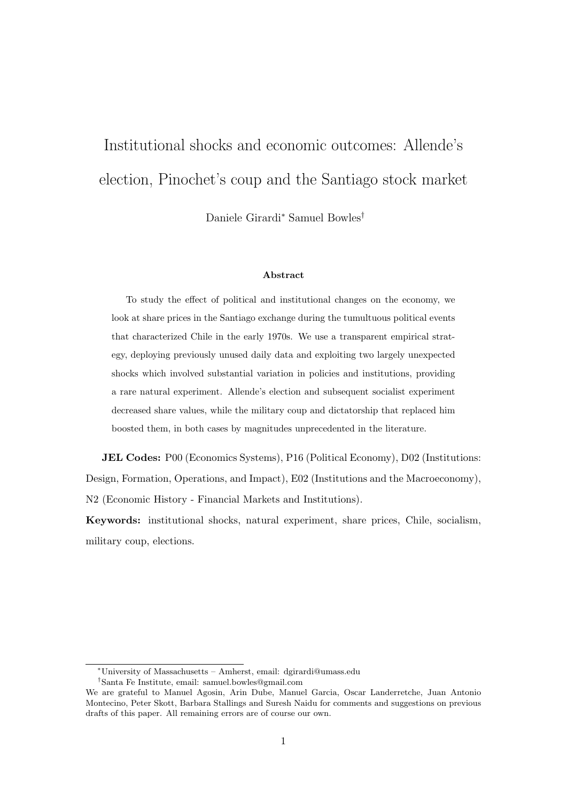# Institutional shocks and economic outcomes: Allende's election, Pinochet's coup and the Santiago stock market

Daniele Girardi<sup>∗</sup> Samuel Bowles†

#### Abstract

To study the effect of political and institutional changes on the economy, we look at share prices in the Santiago exchange during the tumultuous political events that characterized Chile in the early 1970s. We use a transparent empirical strategy, deploying previously unused daily data and exploiting two largely unexpected shocks which involved substantial variation in policies and institutions, providing a rare natural experiment. Allende's election and subsequent socialist experiment decreased share values, while the military coup and dictatorship that replaced him boosted them, in both cases by magnitudes unprecedented in the literature.

JEL Codes: P00 (Economics Systems), P16 (Political Economy), D02 (Institutions: Design, Formation, Operations, and Impact), E02 (Institutions and the Macroeconomy), N2 (Economic History - Financial Markets and Institutions).

Keywords: institutional shocks, natural experiment, share prices, Chile, socialism, military coup, elections.

<sup>∗</sup>University of Massachusetts – Amherst, email: dgirardi@umass.edu †Santa Fe Institute, email: samuel.bowles@gmail.com

We are grateful to Manuel Agosin, Arin Dube, Manuel Garcia, Oscar Landerretche, Juan Antonio Montecino, Peter Skott, Barbara Stallings and Suresh Naidu for comments and suggestions on previous drafts of this paper. All remaining errors are of course our own.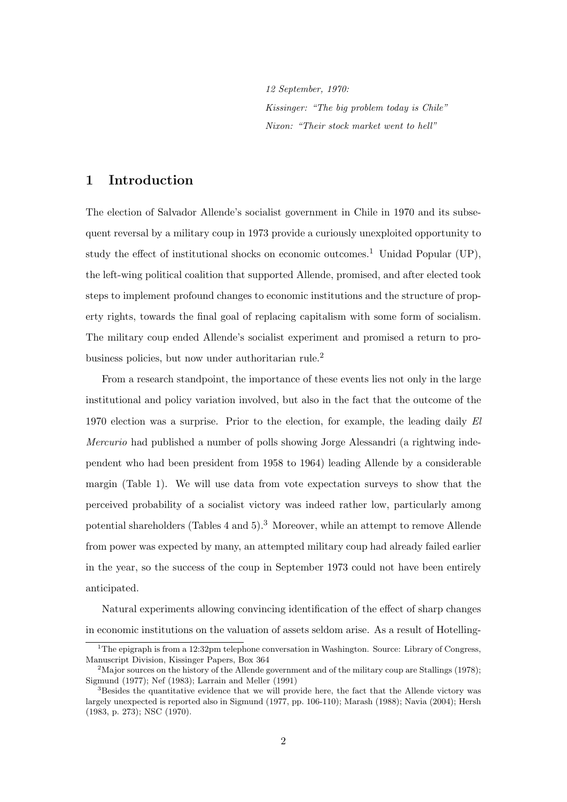12 September, 1970: Kissinger: "The big problem today is Chile" Nixon: "Their stock market went to hell"

# 1 Introduction

The election of Salvador Allende's socialist government in Chile in 1970 and its subsequent reversal by a military coup in 1973 provide a curiously unexploited opportunity to study the effect of institutional shocks on economic outcomes.<sup>1</sup> Unidad Popular (UP), the left-wing political coalition that supported Allende, promised, and after elected took steps to implement profound changes to economic institutions and the structure of property rights, towards the final goal of replacing capitalism with some form of socialism. The military coup ended Allende's socialist experiment and promised a return to probusiness policies, but now under authoritarian rule.<sup>2</sup>

From a research standpoint, the importance of these events lies not only in the large institutional and policy variation involved, but also in the fact that the outcome of the 1970 election was a surprise. Prior to the election, for example, the leading daily El Mercurio had published a number of polls showing Jorge Alessandri (a rightwing independent who had been president from 1958 to 1964) leading Allende by a considerable margin (Table 1). We will use data from vote expectation surveys to show that the perceived probability of a socialist victory was indeed rather low, particularly among potential shareholders (Tables 4 and 5).<sup>3</sup> Moreover, while an attempt to remove Allende from power was expected by many, an attempted military coup had already failed earlier in the year, so the success of the coup in September 1973 could not have been entirely anticipated.

Natural experiments allowing convincing identification of the effect of sharp changes in economic institutions on the valuation of assets seldom arise. As a result of Hotelling-

<sup>&</sup>lt;sup>1</sup>The epigraph is from a 12:32pm telephone conversation in Washington. Source: Library of Congress, Manuscript Division, Kissinger Papers, Box 364

<sup>&</sup>lt;sup>2</sup>Major sources on the history of the Allende government and of the military coup are Stallings (1978); Sigmund (1977); Nef (1983); Larrain and Meller (1991)

<sup>&</sup>lt;sup>3</sup>Besides the quantitative evidence that we will provide here, the fact that the Allende victory was largely unexpected is reported also in Sigmund (1977, pp. 106-110); Marash (1988); Navia (2004); Hersh (1983, p. 273); NSC (1970).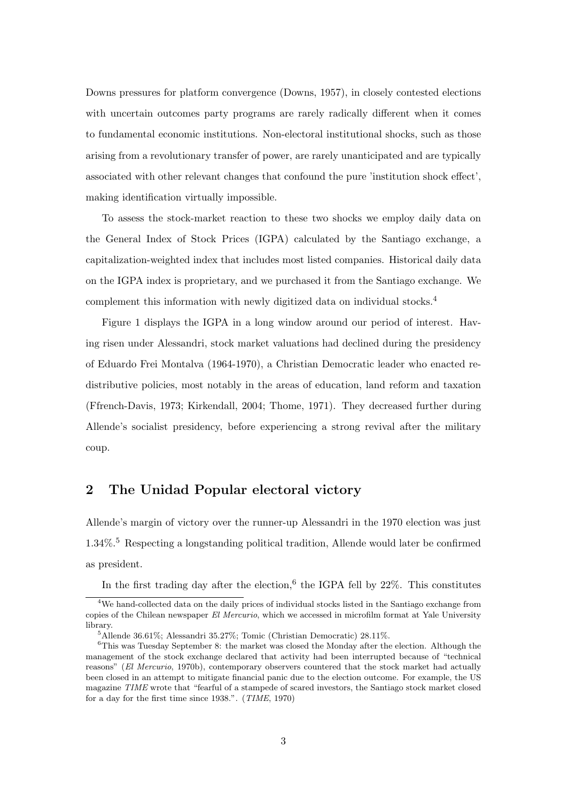Downs pressures for platform convergence (Downs, 1957), in closely contested elections with uncertain outcomes party programs are rarely radically different when it comes to fundamental economic institutions. Non-electoral institutional shocks, such as those arising from a revolutionary transfer of power, are rarely unanticipated and are typically associated with other relevant changes that confound the pure 'institution shock effect', making identification virtually impossible.

To assess the stock-market reaction to these two shocks we employ daily data on the General Index of Stock Prices (IGPA) calculated by the Santiago exchange, a capitalization-weighted index that includes most listed companies. Historical daily data on the IGPA index is proprietary, and we purchased it from the Santiago exchange. We complement this information with newly digitized data on individual stocks.<sup>4</sup>

Figure 1 displays the IGPA in a long window around our period of interest. Having risen under Alessandri, stock market valuations had declined during the presidency of Eduardo Frei Montalva (1964-1970), a Christian Democratic leader who enacted redistributive policies, most notably in the areas of education, land reform and taxation (Ffrench-Davis, 1973; Kirkendall, 2004; Thome, 1971). They decreased further during Allende's socialist presidency, before experiencing a strong revival after the military coup.

### 2 The Unidad Popular electoral victory

Allende's margin of victory over the runner-up Alessandri in the 1970 election was just  $1.34\%$ <sup>5</sup> Respecting a longstanding political tradition, Allende would later be confirmed as president.

In the first trading day after the election,  $6$  the IGPA fell by 22%. This constitutes

<sup>&</sup>lt;sup>4</sup>We hand-collected data on the daily prices of individual stocks listed in the Santiago exchange from copies of the Chilean newspaper El Mercurio, which we accessed in microfilm format at Yale University library.

<sup>5</sup>Allende 36.61%; Alessandri 35.27%; Tomic (Christian Democratic) 28.11%.

 ${}^{6}$ This was Tuesday September 8: the market was closed the Monday after the election. Although the management of the stock exchange declared that activity had been interrupted because of "technical reasons" (El Mercurio, 1970b), contemporary observers countered that the stock market had actually been closed in an attempt to mitigate financial panic due to the election outcome. For example, the US magazine TIME wrote that "fearful of a stampede of scared investors, the Santiago stock market closed for a day for the first time since 1938.". (TIME, 1970)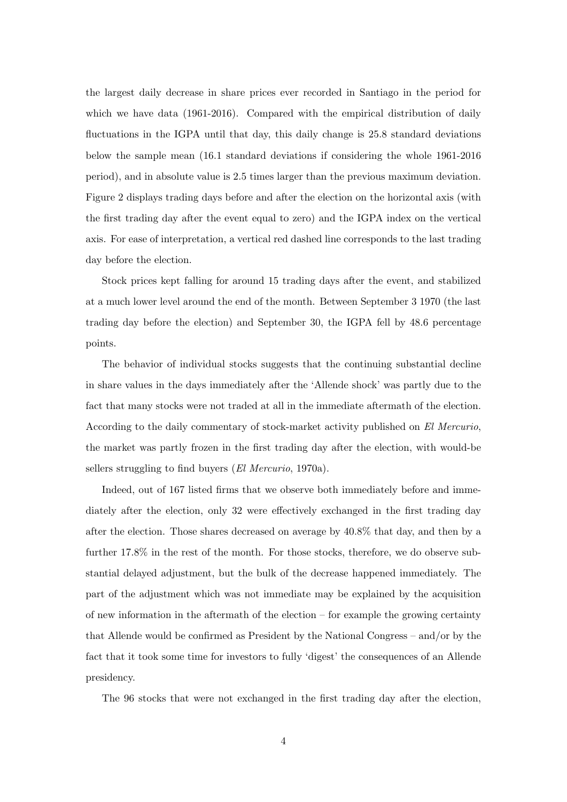the largest daily decrease in share prices ever recorded in Santiago in the period for which we have data (1961-2016). Compared with the empirical distribution of daily fluctuations in the IGPA until that day, this daily change is 25.8 standard deviations below the sample mean (16.1 standard deviations if considering the whole 1961-2016 period), and in absolute value is 2.5 times larger than the previous maximum deviation. Figure 2 displays trading days before and after the election on the horizontal axis (with the first trading day after the event equal to zero) and the IGPA index on the vertical axis. For ease of interpretation, a vertical red dashed line corresponds to the last trading day before the election.

Stock prices kept falling for around 15 trading days after the event, and stabilized at a much lower level around the end of the month. Between September 3 1970 (the last trading day before the election) and September 30, the IGPA fell by 48.6 percentage points.

The behavior of individual stocks suggests that the continuing substantial decline in share values in the days immediately after the 'Allende shock' was partly due to the fact that many stocks were not traded at all in the immediate aftermath of the election. According to the daily commentary of stock-market activity published on El Mercurio, the market was partly frozen in the first trading day after the election, with would-be sellers struggling to find buyers (El Mercurio, 1970a).

Indeed, out of 167 listed firms that we observe both immediately before and immediately after the election, only 32 were effectively exchanged in the first trading day after the election. Those shares decreased on average by 40.8% that day, and then by a further 17.8% in the rest of the month. For those stocks, therefore, we do observe substantial delayed adjustment, but the bulk of the decrease happened immediately. The part of the adjustment which was not immediate may be explained by the acquisition of new information in the aftermath of the election – for example the growing certainty that Allende would be confirmed as President by the National Congress – and/or by the fact that it took some time for investors to fully 'digest' the consequences of an Allende presidency.

The 96 stocks that were not exchanged in the first trading day after the election,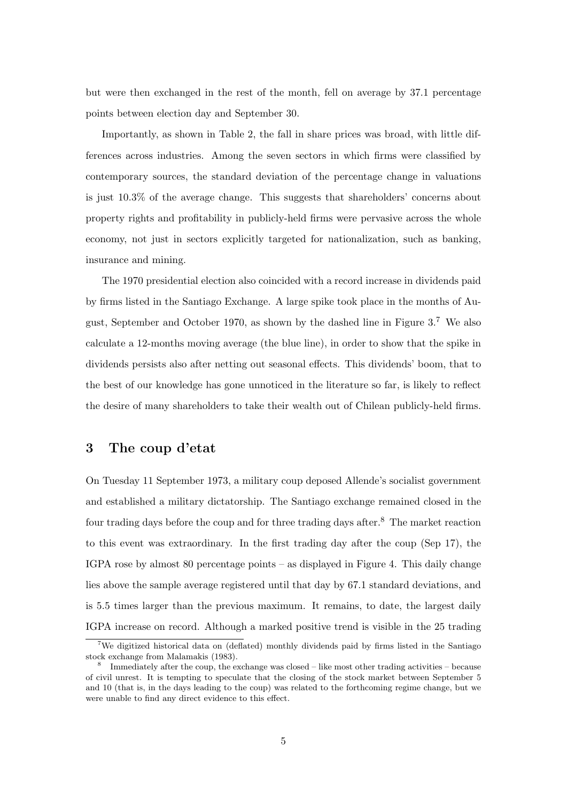but were then exchanged in the rest of the month, fell on average by 37.1 percentage points between election day and September 30.

Importantly, as shown in Table 2, the fall in share prices was broad, with little differences across industries. Among the seven sectors in which firms were classified by contemporary sources, the standard deviation of the percentage change in valuations is just 10.3% of the average change. This suggests that shareholders' concerns about property rights and profitability in publicly-held firms were pervasive across the whole economy, not just in sectors explicitly targeted for nationalization, such as banking, insurance and mining.

The 1970 presidential election also coincided with a record increase in dividends paid by firms listed in the Santiago Exchange. A large spike took place in the months of August, September and October 1970, as shown by the dashed line in Figure  $3.7$  We also calculate a 12-months moving average (the blue line), in order to show that the spike in dividends persists also after netting out seasonal effects. This dividends' boom, that to the best of our knowledge has gone unnoticed in the literature so far, is likely to reflect the desire of many shareholders to take their wealth out of Chilean publicly-held firms.

# 3 The coup d'etat

On Tuesday 11 September 1973, a military coup deposed Allende's socialist government and established a military dictatorship. The Santiago exchange remained closed in the four trading days before the coup and for three trading days after.<sup>8</sup> The market reaction to this event was extraordinary. In the first trading day after the coup (Sep 17), the IGPA rose by almost 80 percentage points – as displayed in Figure 4. This daily change lies above the sample average registered until that day by 67.1 standard deviations, and is 5.5 times larger than the previous maximum. It remains, to date, the largest daily IGPA increase on record. Although a marked positive trend is visible in the 25 trading

<sup>&</sup>lt;sup>7</sup>We digitized historical data on (deflated) monthly dividends paid by firms listed in the Santiago stock exchange from Malamakis (1983).

<sup>&</sup>lt;sup>8</sup> Immediately after the coup, the exchange was closed – like most other trading activities – because of civil unrest. It is tempting to speculate that the closing of the stock market between September 5 and 10 (that is, in the days leading to the coup) was related to the forthcoming regime change, but we were unable to find any direct evidence to this effect.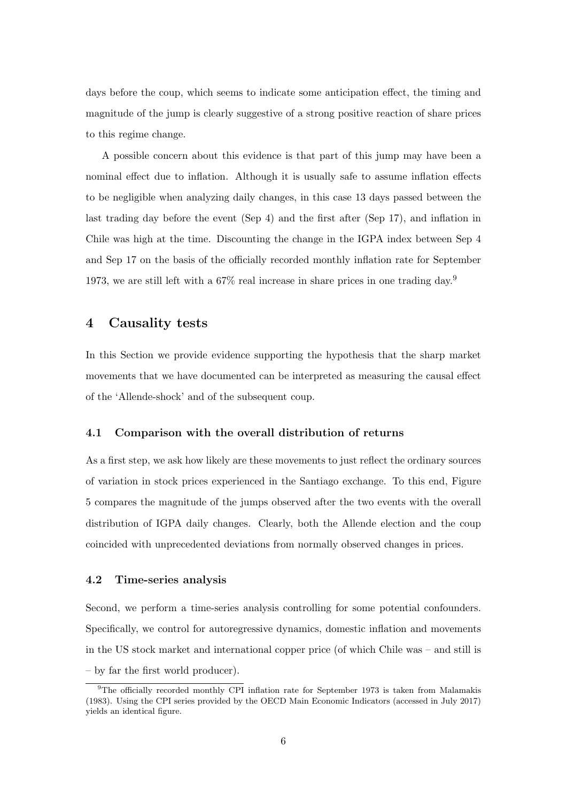days before the coup, which seems to indicate some anticipation effect, the timing and magnitude of the jump is clearly suggestive of a strong positive reaction of share prices to this regime change.

A possible concern about this evidence is that part of this jump may have been a nominal effect due to inflation. Although it is usually safe to assume inflation effects to be negligible when analyzing daily changes, in this case 13 days passed between the last trading day before the event (Sep 4) and the first after (Sep 17), and inflation in Chile was high at the time. Discounting the change in the IGPA index between Sep 4 and Sep 17 on the basis of the officially recorded monthly inflation rate for September 1973, we are still left with a 67% real increase in share prices in one trading day.<sup>9</sup>

#### 4 Causality tests

In this Section we provide evidence supporting the hypothesis that the sharp market movements that we have documented can be interpreted as measuring the causal effect of the 'Allende-shock' and of the subsequent coup.

#### 4.1 Comparison with the overall distribution of returns

As a first step, we ask how likely are these movements to just reflect the ordinary sources of variation in stock prices experienced in the Santiago exchange. To this end, Figure 5 compares the magnitude of the jumps observed after the two events with the overall distribution of IGPA daily changes. Clearly, both the Allende election and the coup coincided with unprecedented deviations from normally observed changes in prices.

#### 4.2 Time-series analysis

Second, we perform a time-series analysis controlling for some potential confounders. Specifically, we control for autoregressive dynamics, domestic inflation and movements in the US stock market and international copper price (of which Chile was – and still is – by far the first world producer).

<sup>&</sup>lt;sup>9</sup>The officially recorded monthly CPI inflation rate for September 1973 is taken from Malamakis (1983). Using the CPI series provided by the OECD Main Economic Indicators (accessed in July 2017) yields an identical figure.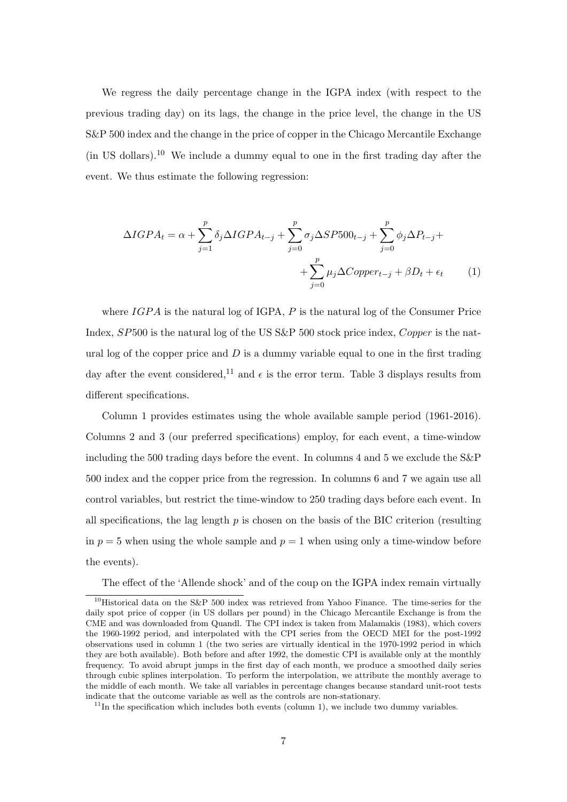We regress the daily percentage change in the IGPA index (with respect to the previous trading day) on its lags, the change in the price level, the change in the US S&P 500 index and the change in the price of copper in the Chicago Mercantile Exchange (in US dollars).<sup>10</sup> We include a dummy equal to one in the first trading day after the event. We thus estimate the following regression:

$$
\Delta I GPA_t = \alpha + \sum_{j=1}^p \delta_j \Delta I GPA_{t-j} + \sum_{j=0}^p \sigma_j \Delta S P 500_{t-j} + \sum_{j=0}^p \phi_j \Delta P_{t-j} + \sum_{j=0}^p \mu_j \Delta C opper_{t-j} + \beta D_t + \epsilon_t \tag{1}
$$

where  $IGPA$  is the natural log of IGPA,  $P$  is the natural log of the Consumer Price Index, SP500 is the natural log of the US S&P 500 stock price index, Copper is the natural log of the copper price and  $D$  is a dummy variable equal to one in the first trading day after the event considered,<sup>11</sup> and  $\epsilon$  is the error term. Table 3 displays results from different specifications.

Column 1 provides estimates using the whole available sample period (1961-2016). Columns 2 and 3 (our preferred specifications) employ, for each event, a time-window including the 500 trading days before the event. In columns 4 and 5 we exclude the S&P 500 index and the copper price from the regression. In columns 6 and 7 we again use all control variables, but restrict the time-window to 250 trading days before each event. In all specifications, the lag length  $p$  is chosen on the basis of the BIC criterion (resulting in  $p = 5$  when using the whole sample and  $p = 1$  when using only a time-window before the events).

The effect of the 'Allende shock' and of the coup on the IGPA index remain virtually

<sup>&</sup>lt;sup>10</sup>Historical data on the S&P 500 index was retrieved from Yahoo Finance. The time-series for the daily spot price of copper (in US dollars per pound) in the Chicago Mercantile Exchange is from the CME and was downloaded from Quandl. The CPI index is taken from Malamakis (1983), which covers the 1960-1992 period, and interpolated with the CPI series from the OECD MEI for the post-1992 observations used in column 1 (the two series are virtually identical in the 1970-1992 period in which they are both available). Both before and after 1992, the domestic CPI is available only at the monthly frequency. To avoid abrupt jumps in the first day of each month, we produce a smoothed daily series through cubic splines interpolation. To perform the interpolation, we attribute the monthly average to the middle of each month. We take all variables in percentage changes because standard unit-root tests indicate that the outcome variable as well as the controls are non-stationary.

 $11$ In the specification which includes both events (column 1), we include two dummy variables.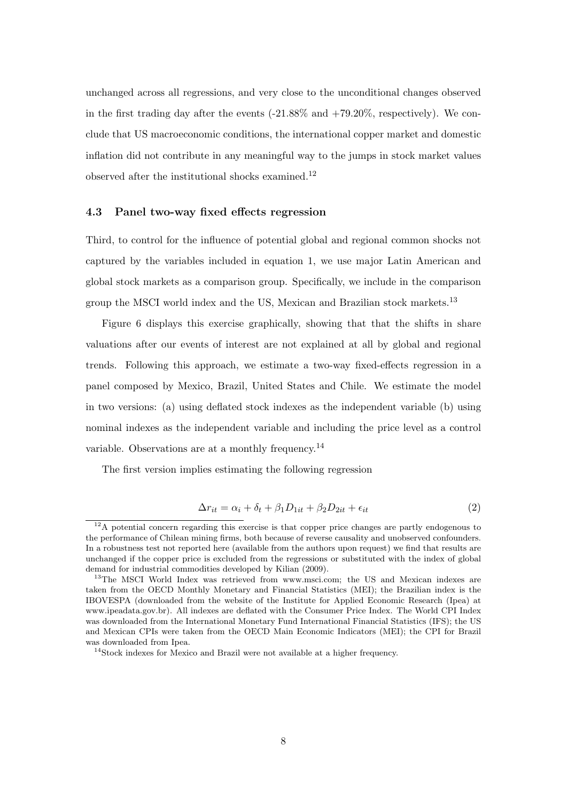unchanged across all regressions, and very close to the unconditional changes observed in the first trading day after the events (-21.88% and +79.20%, respectively). We conclude that US macroeconomic conditions, the international copper market and domestic inflation did not contribute in any meaningful way to the jumps in stock market values observed after the institutional shocks examined.<sup>12</sup>

#### 4.3 Panel two-way fixed effects regression

Third, to control for the influence of potential global and regional common shocks not captured by the variables included in equation 1, we use major Latin American and global stock markets as a comparison group. Specifically, we include in the comparison group the MSCI world index and the US, Mexican and Brazilian stock markets.<sup>13</sup>

Figure 6 displays this exercise graphically, showing that that the shifts in share valuations after our events of interest are not explained at all by global and regional trends. Following this approach, we estimate a two-way fixed-effects regression in a panel composed by Mexico, Brazil, United States and Chile. We estimate the model in two versions: (a) using deflated stock indexes as the independent variable (b) using nominal indexes as the independent variable and including the price level as a control variable. Observations are at a monthly frequency.<sup>14</sup>

The first version implies estimating the following regression

$$
\Delta r_{it} = \alpha_i + \delta_t + \beta_1 D_{1it} + \beta_2 D_{2it} + \epsilon_{it} \tag{2}
$$

 $12A$  potential concern regarding this exercise is that copper price changes are partly endogenous to the performance of Chilean mining firms, both because of reverse causality and unobserved confounders. In a robustness test not reported here (available from the authors upon request) we find that results are unchanged if the copper price is excluded from the regressions or substituted with the index of global demand for industrial commodities developed by Kilian (2009).

<sup>&</sup>lt;sup>13</sup>The MSCI World Index was retrieved from www.msci.com; the US and Mexican indexes are taken from the OECD Monthly Monetary and Financial Statistics (MEI); the Brazilian index is the IBOVESPA (downloaded from the website of the Institute for Applied Economic Research (Ipea) at www.ipeadata.gov.br). All indexes are deflated with the Consumer Price Index. The World CPI Index was downloaded from the International Monetary Fund International Financial Statistics (IFS); the US and Mexican CPIs were taken from the OECD Main Economic Indicators (MEI); the CPI for Brazil was downloaded from Ipea.

<sup>&</sup>lt;sup>14</sup>Stock indexes for Mexico and Brazil were not available at a higher frequency.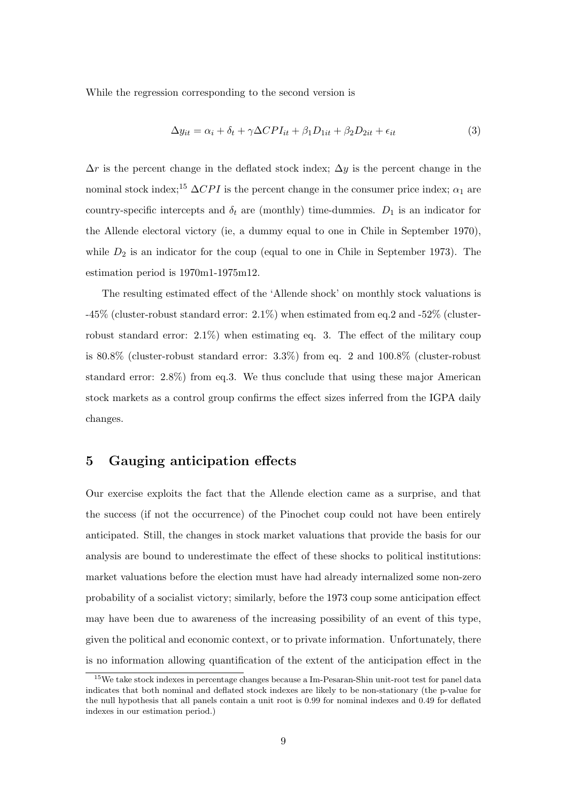While the regression corresponding to the second version is

$$
\Delta y_{it} = \alpha_i + \delta_t + \gamma \Delta CPI_{it} + \beta_1 D_{1it} + \beta_2 D_{2it} + \epsilon_{it}
$$
\n(3)

 $\Delta r$  is the percent change in the deflated stock index;  $\Delta y$  is the percent change in the nominal stock index;<sup>15</sup>  $\Delta CPI$  is the percent change in the consumer price index;  $\alpha_1$  are country-specific intercepts and  $\delta_t$  are (monthly) time-dummies.  $D_1$  is an indicator for the Allende electoral victory (ie, a dummy equal to one in Chile in September 1970), while  $D_2$  is an indicator for the coup (equal to one in Chile in September 1973). The estimation period is 1970m1-1975m12.

The resulting estimated effect of the 'Allende shock' on monthly stock valuations is -45% (cluster-robust standard error: 2.1%) when estimated from eq.2 and -52% (clusterrobust standard error:  $2.1\%$ ) when estimating eq. 3. The effect of the military coup is 80.8% (cluster-robust standard error: 3.3%) from eq. 2 and 100.8% (cluster-robust standard error: 2.8%) from eq.3. We thus conclude that using these major American stock markets as a control group confirms the effect sizes inferred from the IGPA daily changes.

# 5 Gauging anticipation effects

Our exercise exploits the fact that the Allende election came as a surprise, and that the success (if not the occurrence) of the Pinochet coup could not have been entirely anticipated. Still, the changes in stock market valuations that provide the basis for our analysis are bound to underestimate the effect of these shocks to political institutions: market valuations before the election must have had already internalized some non-zero probability of a socialist victory; similarly, before the 1973 coup some anticipation effect may have been due to awareness of the increasing possibility of an event of this type, given the political and economic context, or to private information. Unfortunately, there is no information allowing quantification of the extent of the anticipation effect in the

<sup>&</sup>lt;sup>15</sup>We take stock indexes in percentage changes because a Im-Pesaran-Shin unit-root test for panel data indicates that both nominal and deflated stock indexes are likely to be non-stationary (the p-value for the null hypothesis that all panels contain a unit root is 0.99 for nominal indexes and 0.49 for deflated indexes in our estimation period.)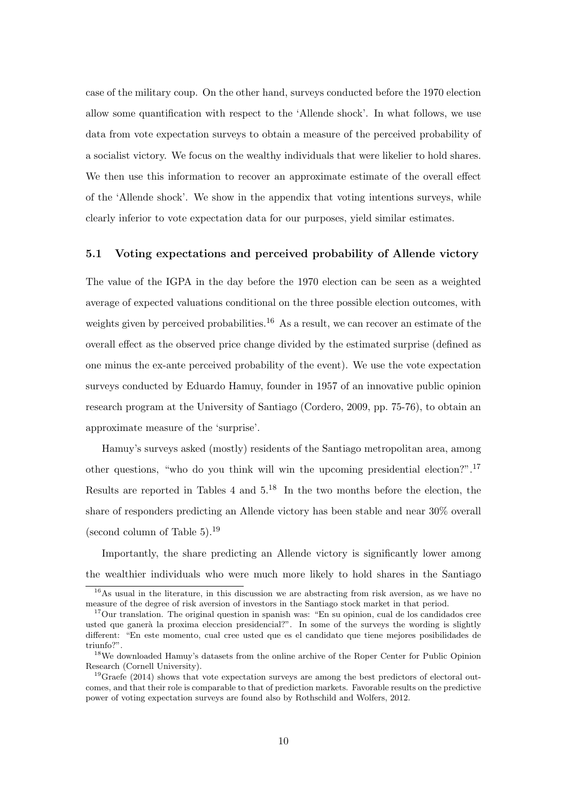case of the military coup. On the other hand, surveys conducted before the 1970 election allow some quantification with respect to the 'Allende shock'. In what follows, we use data from vote expectation surveys to obtain a measure of the perceived probability of a socialist victory. We focus on the wealthy individuals that were likelier to hold shares. We then use this information to recover an approximate estimate of the overall effect of the 'Allende shock'. We show in the appendix that voting intentions surveys, while clearly inferior to vote expectation data for our purposes, yield similar estimates.

#### 5.1 Voting expectations and perceived probability of Allende victory

The value of the IGPA in the day before the 1970 election can be seen as a weighted average of expected valuations conditional on the three possible election outcomes, with weights given by perceived probabilities.<sup>16</sup> As a result, we can recover an estimate of the overall effect as the observed price change divided by the estimated surprise (defined as one minus the ex-ante perceived probability of the event). We use the vote expectation surveys conducted by Eduardo Hamuy, founder in 1957 of an innovative public opinion research program at the University of Santiago (Cordero, 2009, pp. 75-76), to obtain an approximate measure of the 'surprise'.

Hamuy's surveys asked (mostly) residents of the Santiago metropolitan area, among other questions, "who do you think will win the upcoming presidential election?".<sup>17</sup> Results are reported in Tables 4 and 5.<sup>18</sup> In the two months before the election, the share of responders predicting an Allende victory has been stable and near 30% overall (second column of Table 5).<sup>19</sup>

Importantly, the share predicting an Allende victory is significantly lower among the wealthier individuals who were much more likely to hold shares in the Santiago

 $16\text{As}$  usual in the literature, in this discussion we are abstracting from risk aversion, as we have no measure of the degree of risk aversion of investors in the Santiago stock market in that period.

<sup>&</sup>lt;sup>17</sup>Our translation. The original question in spanish was: "En su opinion, cual de los candidados cree usted que ganerà la proxima eleccion presidencial?". In some of the surveys the wording is slightly different: "En este momento, cual cree usted que es el candidato que tiene mejores posibilidades de triunfo?".

<sup>18</sup>We downloaded Hamuy's datasets from the online archive of the Roper Center for Public Opinion Research (Cornell University).

<sup>&</sup>lt;sup>19</sup>Graefe (2014) shows that vote expectation surveys are among the best predictors of electoral outcomes, and that their role is comparable to that of prediction markets. Favorable results on the predictive power of voting expectation surveys are found also by Rothschild and Wolfers, 2012.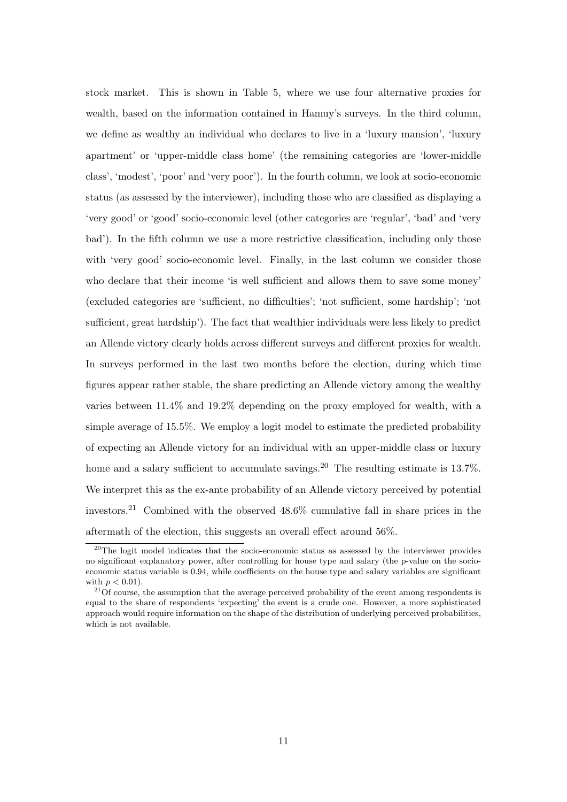stock market. This is shown in Table 5, where we use four alternative proxies for wealth, based on the information contained in Hamuy's surveys. In the third column, we define as wealthy an individual who declares to live in a 'luxury mansion', 'luxury apartment' or 'upper-middle class home' (the remaining categories are 'lower-middle class', 'modest', 'poor' and 'very poor'). In the fourth column, we look at socio-economic status (as assessed by the interviewer), including those who are classified as displaying a 'very good' or 'good' socio-economic level (other categories are 'regular', 'bad' and 'very bad'). In the fifth column we use a more restrictive classification, including only those with 'very good' socio-economic level. Finally, in the last column we consider those who declare that their income 'is well sufficient and allows them to save some money' (excluded categories are 'sufficient, no difficulties'; 'not sufficient, some hardship'; 'not sufficient, great hardship'). The fact that wealthier individuals were less likely to predict an Allende victory clearly holds across different surveys and different proxies for wealth. In surveys performed in the last two months before the election, during which time figures appear rather stable, the share predicting an Allende victory among the wealthy varies between 11.4% and 19.2% depending on the proxy employed for wealth, with a simple average of 15.5%. We employ a logit model to estimate the predicted probability of expecting an Allende victory for an individual with an upper-middle class or luxury home and a salary sufficient to accumulate savings.<sup>20</sup> The resulting estimate is 13.7%. We interpret this as the ex-ante probability of an Allende victory perceived by potential investors.<sup>21</sup> Combined with the observed 48.6% cumulative fall in share prices in the aftermath of the election, this suggests an overall effect around 56%.

<sup>&</sup>lt;sup>20</sup>The logit model indicates that the socio-economic status as assessed by the interviewer provides no significant explanatory power, after controlling for house type and salary (the p-value on the socioeconomic status variable is 0.94, while coefficients on the house type and salary variables are significant with  $p < 0.01$ ).

 $21$ Of course, the assumption that the average perceived probability of the event among respondents is equal to the share of respondents 'expecting' the event is a crude one. However, a more sophisticated approach would require information on the shape of the distribution of underlying perceived probabilities, which is not available.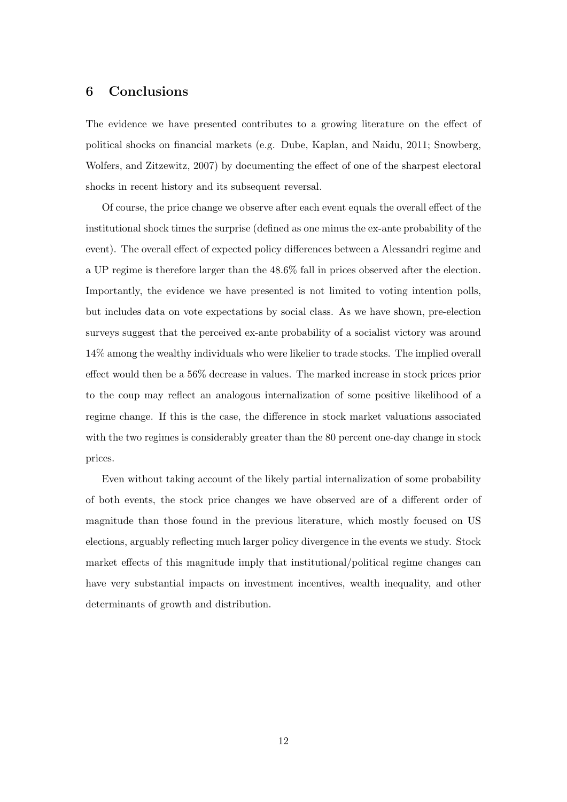# 6 Conclusions

The evidence we have presented contributes to a growing literature on the effect of political shocks on financial markets (e.g. Dube, Kaplan, and Naidu, 2011; Snowberg, Wolfers, and Zitzewitz, 2007) by documenting the effect of one of the sharpest electoral shocks in recent history and its subsequent reversal.

Of course, the price change we observe after each event equals the overall effect of the institutional shock times the surprise (defined as one minus the ex-ante probability of the event). The overall effect of expected policy differences between a Alessandri regime and a UP regime is therefore larger than the 48.6% fall in prices observed after the election. Importantly, the evidence we have presented is not limited to voting intention polls, but includes data on vote expectations by social class. As we have shown, pre-election surveys suggest that the perceived ex-ante probability of a socialist victory was around 14% among the wealthy individuals who were likelier to trade stocks. The implied overall effect would then be a 56% decrease in values. The marked increase in stock prices prior to the coup may reflect an analogous internalization of some positive likelihood of a regime change. If this is the case, the difference in stock market valuations associated with the two regimes is considerably greater than the 80 percent one-day change in stock prices.

Even without taking account of the likely partial internalization of some probability of both events, the stock price changes we have observed are of a different order of magnitude than those found in the previous literature, which mostly focused on US elections, arguably reflecting much larger policy divergence in the events we study. Stock market effects of this magnitude imply that institutional/political regime changes can have very substantial impacts on investment incentives, wealth inequality, and other determinants of growth and distribution.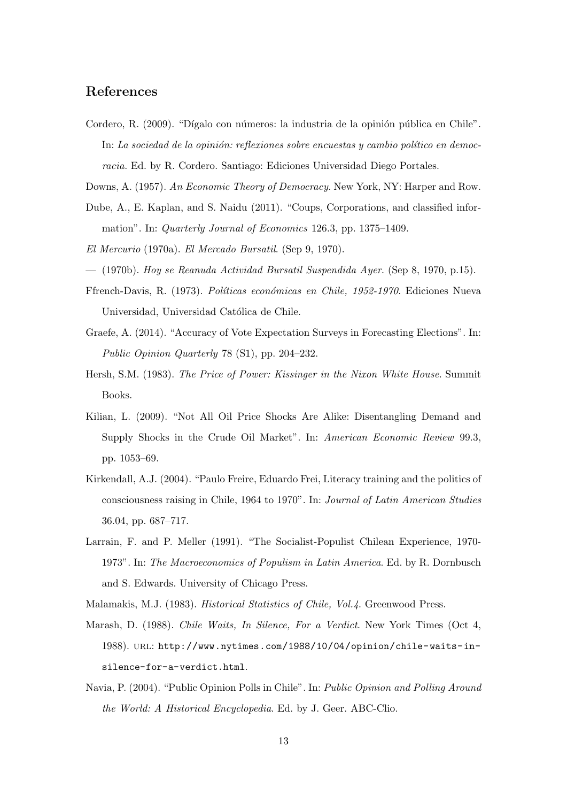## References

- Cordero, R. (2009). "Dígalo con números: la industria de la opinión pública en Chile". In: La sociedad de la opinión: reflexiones sobre encuestas y cambio político en democracia. Ed. by R. Cordero. Santiago: Ediciones Universidad Diego Portales.
- Downs, A. (1957). An Economic Theory of Democracy. New York, NY: Harper and Row.
- Dube, A., E. Kaplan, and S. Naidu (2011). "Coups, Corporations, and classified information". In: Quarterly Journal of Economics 126.3, pp. 1375–1409.
- El Mercurio (1970a). El Mercado Bursatil. (Sep 9, 1970).
- (1970b). Hoy se Reanuda Actividad Bursatil Suspendida Ayer. (Sep 8, 1970, p.15).
- Ffrench-Davis, R. (1973). Políticas económicas en Chile, 1952-1970. Ediciones Nueva Universidad, Universidad Católica de Chile.
- Graefe, A. (2014). "Accuracy of Vote Expectation Surveys in Forecasting Elections". In: Public Opinion Quarterly 78 (S1), pp. 204–232.
- Hersh, S.M. (1983). The Price of Power: Kissinger in the Nixon White House. Summit Books.
- Kilian, L. (2009). "Not All Oil Price Shocks Are Alike: Disentangling Demand and Supply Shocks in the Crude Oil Market". In: American Economic Review 99.3, pp. 1053–69.
- Kirkendall, A.J. (2004). "Paulo Freire, Eduardo Frei, Literacy training and the politics of consciousness raising in Chile, 1964 to 1970". In: Journal of Latin American Studies 36.04, pp. 687–717.
- Larrain, F. and P. Meller (1991). "The Socialist-Populist Chilean Experience, 1970- 1973". In: The Macroeconomics of Populism in Latin America. Ed. by R. Dornbusch and S. Edwards. University of Chicago Press.
- Malamakis, M.J. (1983). Historical Statistics of Chile, Vol.4. Greenwood Press.
- Marash, D. (1988). Chile Waits, In Silence, For a Verdict. New York Times (Oct 4, 1988). url: http://www.nytimes.com/1988/10/04/opinion/chile-waits-insilence-for-a-verdict.html.
- Navia, P. (2004). "Public Opinion Polls in Chile". In: Public Opinion and Polling Around the World: A Historical Encyclopedia. Ed. by J. Geer. ABC-Clio.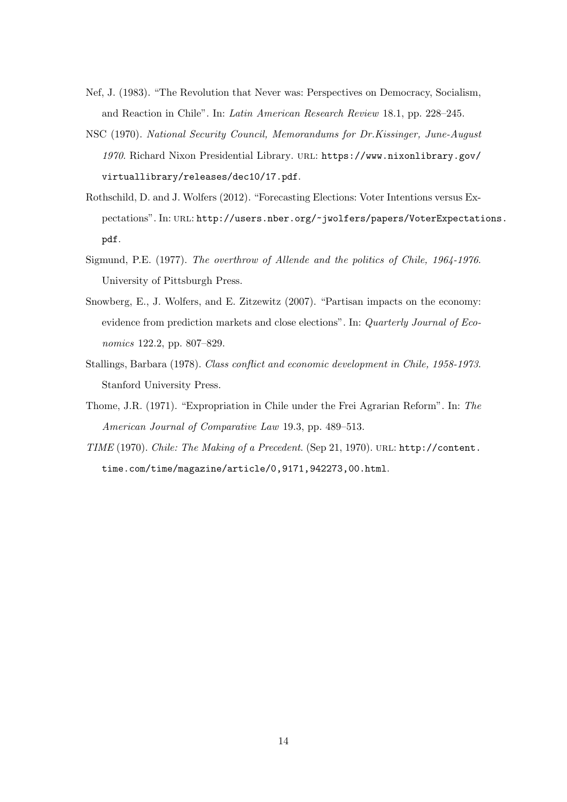- Nef, J. (1983). "The Revolution that Never was: Perspectives on Democracy, Socialism, and Reaction in Chile". In: Latin American Research Review 18.1, pp. 228–245.
- NSC (1970). National Security Council, Memorandums for Dr.Kissinger, June-August 1970. Richard Nixon Presidential Library. url: https://www.nixonlibrary.gov/ virtuallibrary/releases/dec10/17.pdf.
- Rothschild, D. and J. Wolfers (2012). "Forecasting Elections: Voter Intentions versus Expectations". In: URL: http://users.nber.org/~jwolfers/papers/VoterExpectations. pdf.
- Sigmund, P.E. (1977). The overthrow of Allende and the politics of Chile, 1964-1976. University of Pittsburgh Press.
- Snowberg, E., J. Wolfers, and E. Zitzewitz (2007). "Partisan impacts on the economy: evidence from prediction markets and close elections". In: Quarterly Journal of Economics 122.2, pp. 807–829.
- Stallings, Barbara (1978). Class conflict and economic development in Chile, 1958-1973. Stanford University Press.
- Thome, J.R. (1971). "Expropriation in Chile under the Frei Agrarian Reform". In: The American Journal of Comparative Law 19.3, pp. 489–513.
- TIME (1970). Chile: The Making of a Precedent. (Sep 21, 1970). URL: http://content. time.com/time/magazine/article/0,9171,942273,00.html.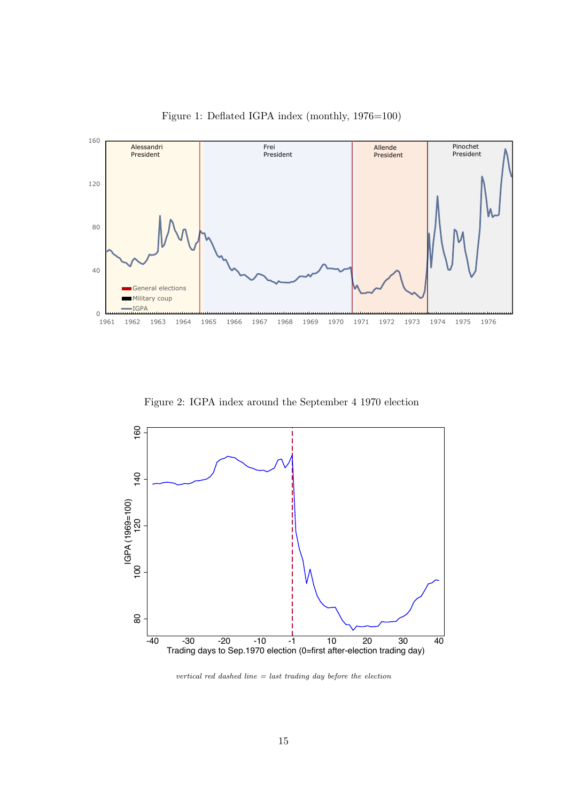

Figure 1: Deflated IGPA index (monthly, 1976=100)

Figure 2: IGPA index around the September 4 1970 election



vertical red dashed line  $=$  last trading day before the election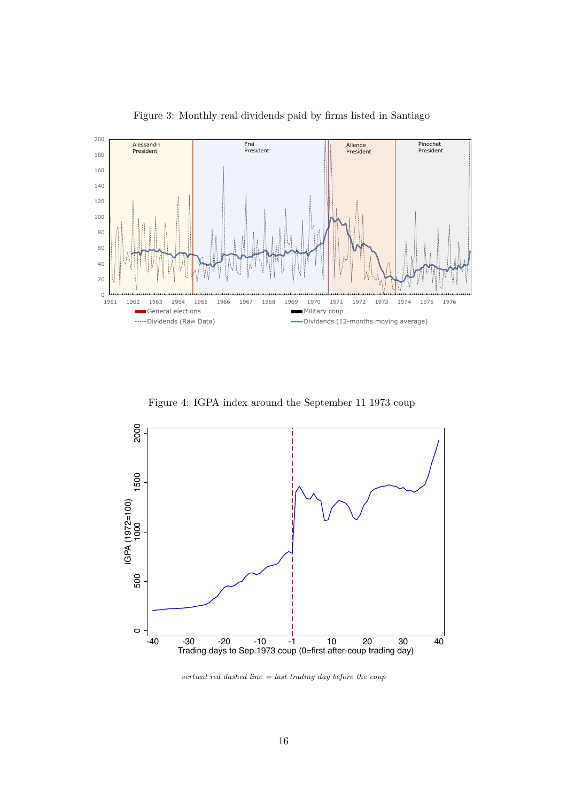

Figure 3: Monthly real dividends paid by firms listed in Santiago

Figure 4: IGPA index around the September 11 1973 coup



vertical red dashed line  $=$  last trading day before the coup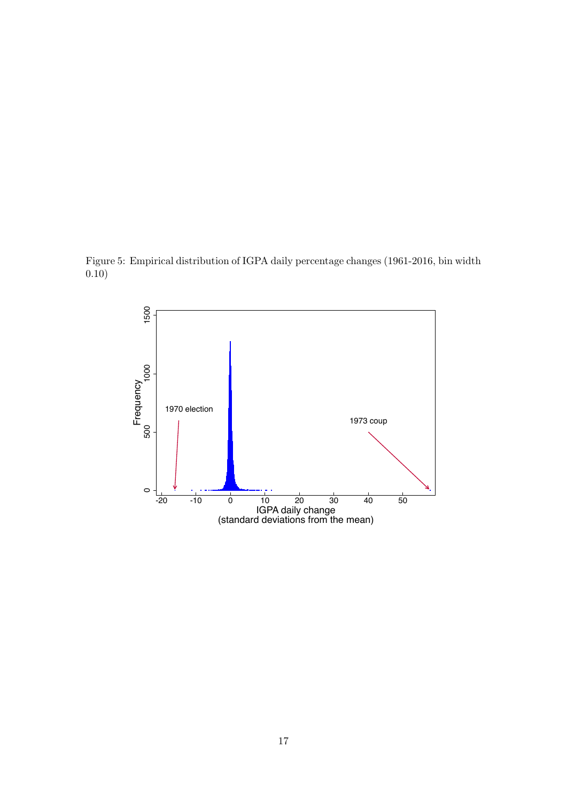Figure 5: Empirical distribution of IGPA daily percentage changes (1961-2016, bin width 0.10)

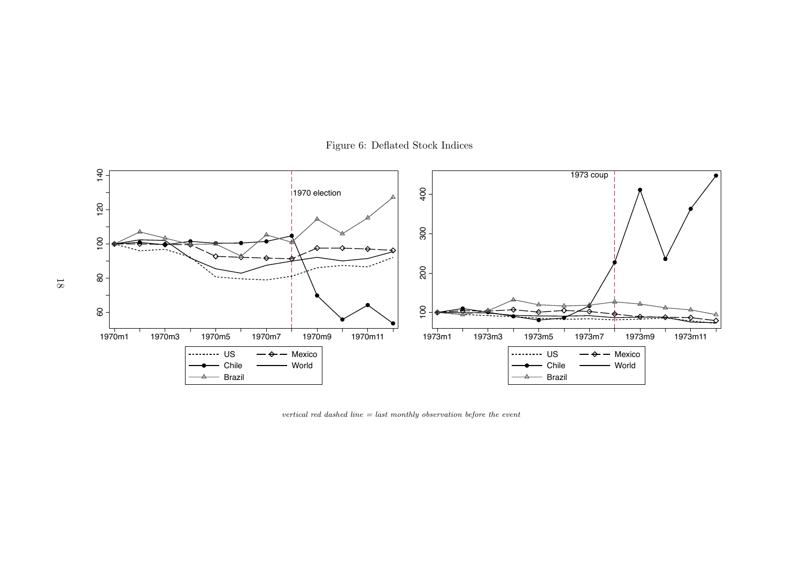

Figure 6: Deflated Stock Indices

vertical red dashed line  $=$  last monthly observation before the event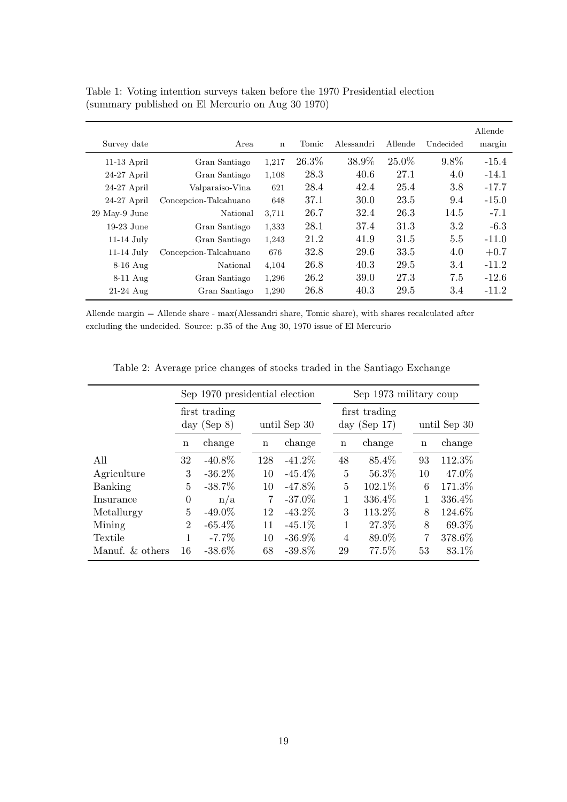|               |                       |             |       |            |         |           | Allende |
|---------------|-----------------------|-------------|-------|------------|---------|-----------|---------|
| Survey date   | Area                  | $\mathbf n$ | Tomic | Alessandri | Allende | Undecided | margin  |
| $11-13$ April | Gran Santiago         | 1,217       | 26.3% | 38.9%      | 25.0%   | $9.8\%$   | $-15.4$ |
| $24-27$ April | Gran Santiago         | 1,108       | 28.3  | 40.6       | 27.1    | 4.0       | $-14.1$ |
| $24-27$ April | Valparaiso-Vina       | 621         | 28.4  | 42.4       | 25.4    | 3.8       | $-17.7$ |
| $24-27$ April | Concepcion-Talcahuano | 648         | 37.1  | 30.0       | 23.5    | 9.4       | $-15.0$ |
| 29 May-9 June | National              | 3,711       | 26.7  | 32.4       | 26.3    | 14.5      | $-7.1$  |
| $19-23$ June  | Gran Santiago         | 1,333       | 28.1  | 37.4       | 31.3    | 3.2       | $-6.3$  |
| $11-14$ July  | Gran Santiago         | 1,243       | 21.2  | 41.9       | 31.5    | 5.5       | $-11.0$ |
| $11-14$ July  | Concepcion-Talcahuano | 676         | 32.8  | 29.6       | 33.5    | 4.0       | $+0.7$  |
| $8-16$ Aug    | National              | 4,104       | 26.8  | 40.3       | 29.5    | 3.4       | $-11.2$ |
| $8-11$ Aug    | Gran Santiago         | 1,296       | 26.2  | 39.0       | 27.3    | 7.5       | $-12.6$ |
| $21-24$ Aug   | Gran Santiago         | 1,290       | 26.8  | 40.3       | 29.5    | 3.4       | $-11.2$ |

Table 1: Voting intention surveys taken before the 1970 Presidential election (summary published on El Mercurio on Aug 30 1970)

Allende margin = Allende share - max(Alessandri share, Tomic share), with shares recalculated after excluding the undecided. Source: p.35 of the Aug 30, 1970 issue of El Mercurio

|                    | Sep 1970 presidential election  |           |                |              | Sep 1973 military coup |                                  |             |              |  |
|--------------------|---------------------------------|-----------|----------------|--------------|------------------------|----------------------------------|-------------|--------------|--|
|                    | first trading<br>day (Sep $8$ ) |           |                | until Sep 30 |                        | first trading<br>day (Sep $17$ ) |             | until Sep 30 |  |
|                    | change<br>$\mathbf n$           |           | $\mathbf n$    | change       | $\mathbf n$            | change                           | $\mathbf n$ | change       |  |
| All                | 32                              | $-40.8\%$ | 128            | $-41.2\%$    | 48                     | 85.4%                            | 93          | 112.3%       |  |
| Agriculture        | 3                               | $-36.2\%$ | 10             | $-45.4\%$    | 5                      | 56.3%                            | 10          | 47.0%        |  |
| Banking            | 5                               | $-38.7\%$ | 10             | $-47.8\%$    | 5                      | 102.1%                           | 6           | 171.3%       |  |
| Insurance          | 0                               | n/a       | $\overline{7}$ | $-37.0\%$    | 1                      | 336.4%                           | 1           | 336.4%       |  |
| Metallurgy         | 5                               | $-49.0\%$ | 12             | $-43.2\%$    | 3                      | 113.2%                           | 8           | 124.6%       |  |
| Mining             | $\overline{2}$                  | $-65.4\%$ | 11             | $-45.1\%$    |                        | 27.3%                            | 8           | 69.3%        |  |
| Textile            |                                 | $-7.7\%$  | 10             | $-36.9\%$    | $\overline{4}$         | 89.0%                            | 7           | 378.6%       |  |
| Manuf. $\&$ others | 16                              | $-38.6\%$ | 68             | $-39.8\%$    | 29                     | 77.5%                            | 53          | 83.1\%       |  |

Table 2: Average price changes of stocks traded in the Santiago Exchange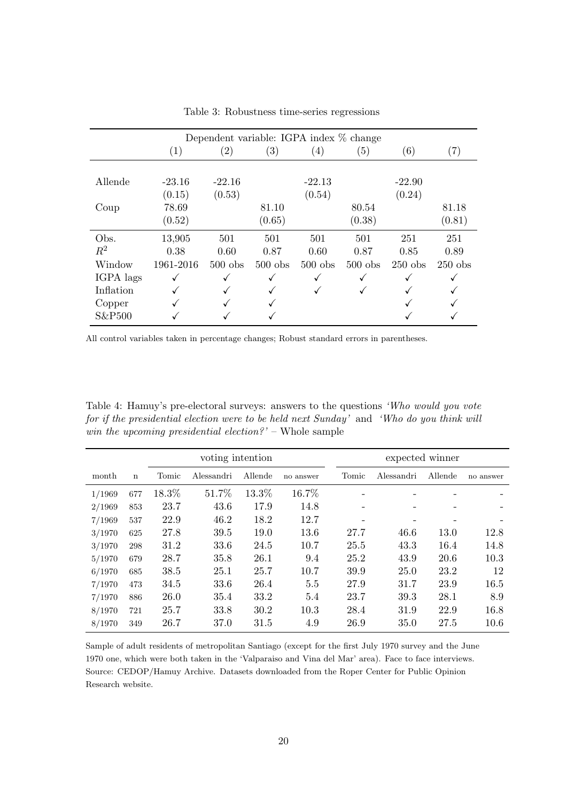|           | Dependent variable: IGPA index % change |                   |           |                   |           |           |                   |  |
|-----------|-----------------------------------------|-------------------|-----------|-------------------|-----------|-----------|-------------------|--|
|           | (1)                                     | $\left( 2\right)$ | (3)       | $\left( 4\right)$ | (5)       | (6)       | $\left( 7\right)$ |  |
|           |                                         |                   |           |                   |           |           |                   |  |
| Allende   | $-23.16$                                | $-22.16$          |           | $-22.13$          |           | $-22.90$  |                   |  |
|           | (0.15)                                  | (0.53)            |           | (0.54)            |           | (0.24)    |                   |  |
| Coup      | 78.69                                   |                   | 81.10     |                   | 80.54     |           | 81.18             |  |
|           | (0.52)                                  |                   | (0.65)    |                   | (0.38)    |           | (0.81)            |  |
| Obs.      | 13,905                                  | 501               | 501       | 501               | 501       | 251       | 251               |  |
| $R^2$     | 0.38                                    | 0.60              | 0.87      | 0.60              | 0.87      | 0.85      | 0.89              |  |
| Window    | 1961-2016                               | $500$ obs         | $500$ obs | $500$ obs         | $500$ obs | $250$ obs | $250$ obs         |  |
| IGPA lags |                                         |                   |           |                   |           |           |                   |  |
| Inflation |                                         |                   |           |                   |           |           |                   |  |
| Copper    |                                         |                   |           |                   |           |           |                   |  |
| S&P500    |                                         |                   |           |                   |           |           |                   |  |

Table 3: Robustness time-series regressions

All control variables taken in percentage changes; Robust standard errors in parentheses.

Table 4: Hamuy's pre-electoral surveys: answers to the questions 'Who would you vote for if the presidential election were to be held next Sunday' and 'Who do you think will win the upcoming presidential election?' – Whole sample

|        |             | voting intention |            |         |           |  | expected winner          |             |                          |           |
|--------|-------------|------------------|------------|---------|-----------|--|--------------------------|-------------|--------------------------|-----------|
| month  | $\mathbf n$ | Tomic            | Alessandri | Allende | no answer |  | Tomic                    | Alessandri  | Allende                  | no answer |
| 1/1969 | 677         | 18.3%            | 51.7%      | 13.3%   | 16.7%     |  |                          |             |                          |           |
| 2/1969 | 853         | 23.7             | 43.6       | 17.9    | 14.8      |  | $\overline{\phantom{0}}$ | -           | $\overline{\phantom{a}}$ |           |
| 7/1969 | 537         | 22.9             | 46.2       | 18.2    | 12.7      |  |                          |             |                          |           |
| 3/1970 | 625         | 27.8             | 39.5       | 19.0    | 13.6      |  | 27.7                     | 46.6        | 13.0                     | 12.8      |
| 3/1970 | 298         | 31.2             | 33.6       | 24.5    | 10.7      |  | 25.5                     | 43.3        | 16.4                     | 14.8      |
| 5/1970 | 679         | 28.7             | 35.8       | 26.1    | 9.4       |  | 25.2                     | 43.9        | 20.6                     | 10.3      |
| 6/1970 | 685         | 38.5             | 25.1       | 25.7    | 10.7      |  | 39.9                     | <b>25.0</b> | 23.2                     | 12        |
| 7/1970 | 473         | 34.5             | 33.6       | 26.4    | 5.5       |  | 27.9                     | 31.7        | 23.9                     | 16.5      |
| 7/1970 | 886         | 26.0             | 35.4       | 33.2    | 5.4       |  | 23.7                     | 39.3        | 28.1                     | 8.9       |
| 8/1970 | 721         | 25.7             | 33.8       | 30.2    | 10.3      |  | 28.4                     | 31.9        | 22.9                     | 16.8      |
| 8/1970 | 349         | 26.7             | 37.0       | 31.5    | 4.9       |  | 26.9                     | 35.0        | 27.5                     | 10.6      |

Sample of adult residents of metropolitan Santiago (except for the first July 1970 survey and the June 1970 one, which were both taken in the 'Valparaiso and Vina del Mar' area). Face to face interviews. Source: CEDOP/Hamuy Archive. Datasets downloaded from the Roper Center for Public Opinion Research website.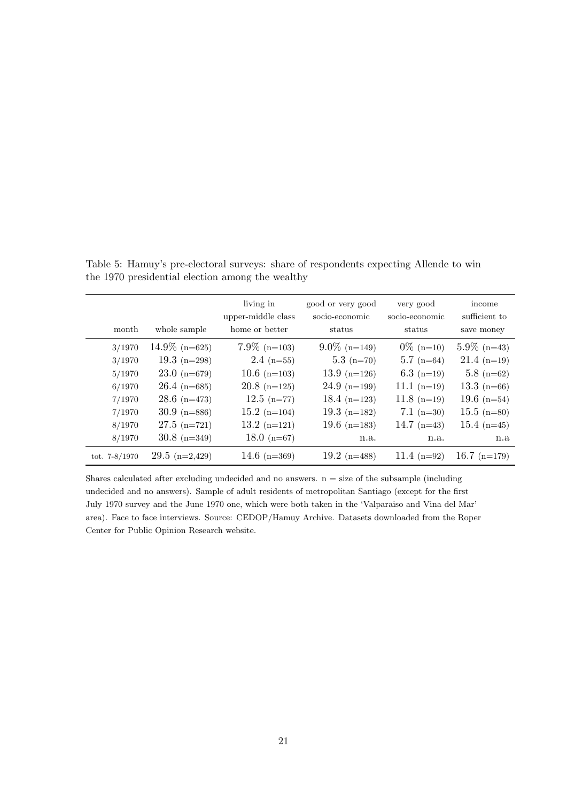| month           | whole sample           | living in<br>upper-middle class<br>home or better | good or very good<br>socio-economic<br>status | very good<br>socio-economic<br>status | income<br>sufficient to<br>save money |
|-----------------|------------------------|---------------------------------------------------|-----------------------------------------------|---------------------------------------|---------------------------------------|
| 3/1970          | $14.9\%$ (n=625)       | $7.9\%$ (n=103)                                   | $9.0\%$ (n=149)                               | $0\%$ (n=10)                          | $5.9\%$ (n=43)                        |
| 3/1970          | 19.3 $(n=298)$         | $2.4$ (n=55)                                      | $5.3$ (n=70)                                  | $5.7$ (n=64)                          | $21.4$ (n=19)                         |
| 5/1970          | $23.0 \text{ (n=679)}$ | $10.6$ (n=103)                                    | $13.9$ (n=126)                                | 6.3 $(n=19)$                          | $5.8$ (n=62)                          |
| 6/1970          | $26.4$ (n=685)         | $20.8$ (n=125)                                    | $24.9$ (n=199)                                | $11.1 (n=19)$                         | 13.3 $(n=66)$                         |
| 7/1970          | $28.6$ (n=473)         | $12.5$ (n=77)                                     | 18.4 $(n=123)$                                | $11.8$ (n=19)                         | 19.6 $(n=54)$                         |
| 7/1970          | $30.9$ (n=886)         | $15.2$ (n=104)                                    | 19.3 $(n=182)$                                | $7.1 \text{ (n=30)}$                  | $15.5$ (n=80)                         |
| 8/1970          | $27.5$ (n=721)         | $13.2$ (n=121)                                    | 19.6 $(n=183)$                                | 14.7 $(n=43)$                         | 15.4 $(n=45)$                         |
| 8/1970          | $30.8$ (n=349)         | 18.0 $(n=67)$                                     | n.a.                                          | n.a.                                  | n.a                                   |
| tot. $7-8/1970$ | $29.5$ (n=2,429)       | 14.6 $(n=369)$                                    | 19.2 $(n=488)$                                | 11.4 $(n=92)$                         | 16.7 $(n=179)$                        |

Table 5: Hamuy's pre-electoral surveys: share of respondents expecting Allende to win the 1970 presidential election among the wealthy

Shares calculated after excluding undecided and no answers.  $n = size$  of the subsample (including undecided and no answers). Sample of adult residents of metropolitan Santiago (except for the first July 1970 survey and the June 1970 one, which were both taken in the 'Valparaiso and Vina del Mar' area). Face to face interviews. Source: CEDOP/Hamuy Archive. Datasets downloaded from the Roper Center for Public Opinion Research website.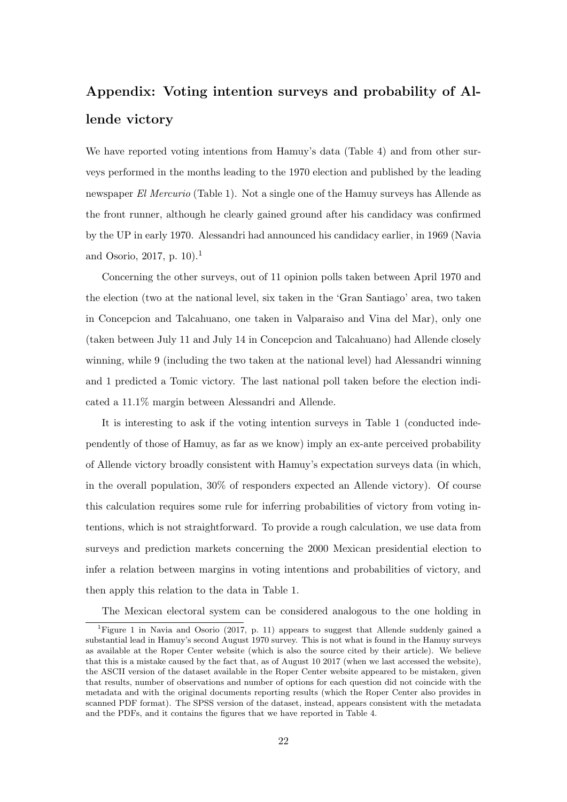# Appendix: Voting intention surveys and probability of Allende victory

We have reported voting intentions from Hamuy's data (Table 4) and from other surveys performed in the months leading to the 1970 election and published by the leading newspaper El Mercurio (Table 1). Not a single one of the Hamuy surveys has Allende as the front runner, although he clearly gained ground after his candidacy was confirmed by the UP in early 1970. Alessandri had announced his candidacy earlier, in 1969 (Navia and Osorio, 2017, p. 10).<sup>1</sup>

Concerning the other surveys, out of 11 opinion polls taken between April 1970 and the election (two at the national level, six taken in the 'Gran Santiago' area, two taken in Concepcion and Talcahuano, one taken in Valparaiso and Vina del Mar), only one (taken between July 11 and July 14 in Concepcion and Talcahuano) had Allende closely winning, while 9 (including the two taken at the national level) had Alessandri winning and 1 predicted a Tomic victory. The last national poll taken before the election indicated a 11.1% margin between Alessandri and Allende.

It is interesting to ask if the voting intention surveys in Table 1 (conducted independently of those of Hamuy, as far as we know) imply an ex-ante perceived probability of Allende victory broadly consistent with Hamuy's expectation surveys data (in which, in the overall population, 30% of responders expected an Allende victory). Of course this calculation requires some rule for inferring probabilities of victory from voting intentions, which is not straightforward. To provide a rough calculation, we use data from surveys and prediction markets concerning the 2000 Mexican presidential election to infer a relation between margins in voting intentions and probabilities of victory, and then apply this relation to the data in Table 1.

The Mexican electoral system can be considered analogous to the one holding in

<sup>&</sup>lt;sup>1</sup>Figure 1 in Navia and Osorio (2017, p. 11) appears to suggest that Allende suddenly gained a substantial lead in Hamuy's second August 1970 survey. This is not what is found in the Hamuy surveys as available at the Roper Center website (which is also the source cited by their article). We believe that this is a mistake caused by the fact that, as of August 10 2017 (when we last accessed the website), the ASCII version of the dataset available in the Roper Center website appeared to be mistaken, given that results, number of observations and number of options for each question did not coincide with the metadata and with the original documents reporting results (which the Roper Center also provides in scanned PDF format). The SPSS version of the dataset, instead, appears consistent with the metadata and the PDFs, and it contains the figures that we have reported in Table 4.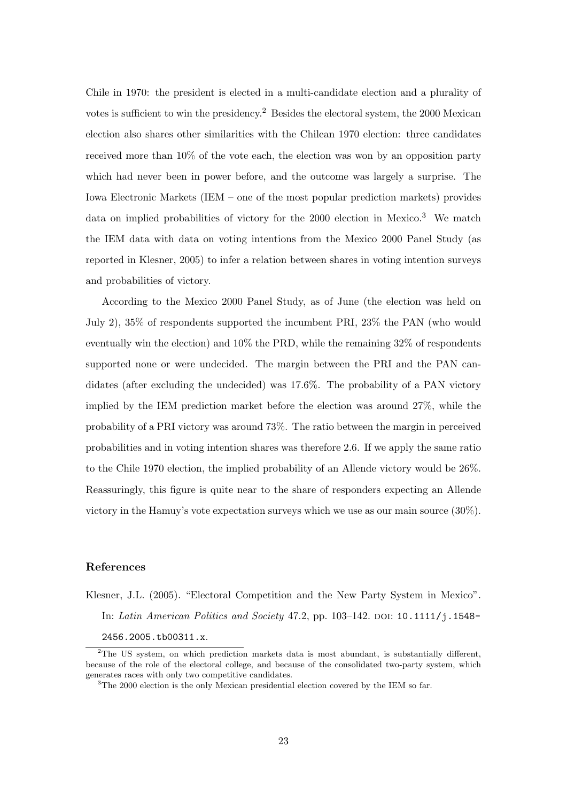Chile in 1970: the president is elected in a multi-candidate election and a plurality of votes is sufficient to win the presidency.<sup>2</sup> Besides the electoral system, the 2000 Mexican election also shares other similarities with the Chilean 1970 election: three candidates received more than 10% of the vote each, the election was won by an opposition party which had never been in power before, and the outcome was largely a surprise. The Iowa Electronic Markets (IEM – one of the most popular prediction markets) provides data on implied probabilities of victory for the  $2000$  election in Mexico.<sup>3</sup> We match the IEM data with data on voting intentions from the Mexico 2000 Panel Study (as reported in Klesner, 2005) to infer a relation between shares in voting intention surveys and probabilities of victory.

According to the Mexico 2000 Panel Study, as of June (the election was held on July 2), 35% of respondents supported the incumbent PRI, 23% the PAN (who would eventually win the election) and 10% the PRD, while the remaining 32% of respondents supported none or were undecided. The margin between the PRI and the PAN candidates (after excluding the undecided) was 17.6%. The probability of a PAN victory implied by the IEM prediction market before the election was around 27%, while the probability of a PRI victory was around 73%. The ratio between the margin in perceived probabilities and in voting intention shares was therefore 2.6. If we apply the same ratio to the Chile 1970 election, the implied probability of an Allende victory would be 26%. Reassuringly, this figure is quite near to the share of responders expecting an Allende victory in the Hamuy's vote expectation surveys which we use as our main source (30%).

#### References

Klesner, J.L. (2005). "Electoral Competition and the New Party System in Mexico". In: Latin American Politics and Society 47.2, pp. 103–142. DOI:  $10.1111/j.1548$ – 2456.2005.tb00311.x.

<sup>&</sup>lt;sup>2</sup>The US system, on which prediction markets data is most abundant, is substantially different, because of the role of the electoral college, and because of the consolidated two-party system, which generates races with only two competitive candidates.

<sup>&</sup>lt;sup>3</sup>The 2000 election is the only Mexican presidential election covered by the IEM so far.